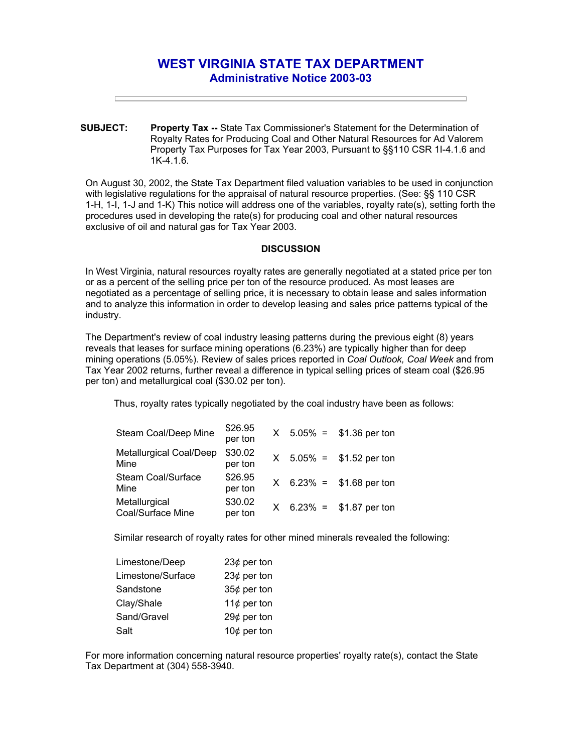## **WEST VIRGINIA STATE TAX DEPARTMENT Administrative Notice 2003-03**

**SUBJECT: Property Tax --** State Tax Commissioner's Statement for the Determination of Royalty Rates for Producing Coal and Other Natural Resources for Ad Valorem Property Tax Purposes for Tax Year 2003, Pursuant to §§110 CSR 1I-4.1.6 and 1K-4.1.6.

On August 30, 2002, the State Tax Department filed valuation variables to be used in conjunction with legislative regulations for the appraisal of natural resource properties. (See: §§ 110 CSR 1-H, 1-I, 1-J and 1-K) This notice will address one of the variables, royalty rate(s), setting forth the procedures used in developing the rate(s) for producing coal and other natural resources exclusive of oil and natural gas for Tax Year 2003.

## **DISCUSSION**

In West Virginia, natural resources royalty rates are generally negotiated at a stated price per ton or as a percent of the selling price per ton of the resource produced. As most leases are negotiated as a percentage of selling price, it is necessary to obtain lease and sales information and to analyze this information in order to develop leasing and sales price patterns typical of the industry.

The Department's review of coal industry leasing patterns during the previous eight (8) years reveals that leases for surface mining operations (6.23%) are typically higher than for deep mining operations (5.05%). Review of sales prices reported in *Coal Outlook, Coal Week* and from Tax Year 2002 returns, further reveal a difference in typical selling prices of steam coal (\$26.95 per ton) and metallurgical coal (\$30.02 per ton).

Thus, royalty rates typically negotiated by the coal industry have been as follows:

| Steam Coal/Deep Mine               | \$26.95<br>per ton |  | $X$ 5.05% = \$1.36 per ton |
|------------------------------------|--------------------|--|----------------------------|
| Metallurgical Coal/Deep<br>Mine    | \$30.02<br>per ton |  | $X$ 5.05% = \$1.52 per ton |
| Steam Coal/Surface<br>Mine         | \$26.95<br>per ton |  | $X$ 6.23% = \$1.68 per ton |
| Metallurgical<br>Coal/Surface Mine | \$30.02<br>per ton |  | $X$ 6.23% = \$1.87 per ton |

Similar research of royalty rates for other mined minerals revealed the following:

| Limestone/Deep    | 23¢ per ton    |
|-------------------|----------------|
| Limestone/Surface | 23 $¢$ per ton |
| Sandstone         | 35¢ per ton    |
| Clay/Shale        | 11 $¢$ per ton |
| Sand/Gravel       | 29 $¢$ per ton |
| Salt              | 10 $¢$ per ton |

For more information concerning natural resource properties' royalty rate(s), contact the State Tax Department at (304) 558-3940.